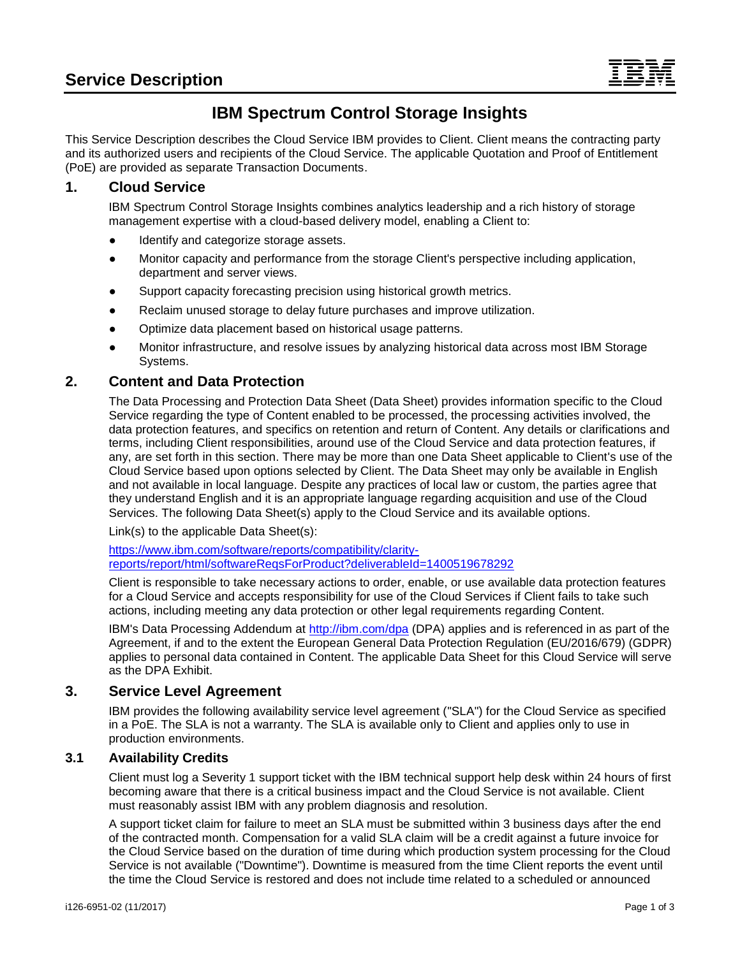# **IBM Spectrum Control Storage Insights**

This Service Description describes the Cloud Service IBM provides to Client. Client means the contracting party and its authorized users and recipients of the Cloud Service. The applicable Quotation and Proof of Entitlement (PoE) are provided as separate Transaction Documents.

## **1. Cloud Service**

IBM Spectrum Control Storage Insights combines analytics leadership and a rich history of storage management expertise with a cloud-based delivery model, enabling a Client to:

- Identify and categorize storage assets.
- Monitor capacity and performance from the storage Client's perspective including application, department and server views.
- Support capacity forecasting precision using historical growth metrics.
- Reclaim unused storage to delay future purchases and improve utilization.
- Optimize data placement based on historical usage patterns.
- Monitor infrastructure, and resolve issues by analyzing historical data across most IBM Storage Systems.

# **2. Content and Data Protection**

The Data Processing and Protection Data Sheet (Data Sheet) provides information specific to the Cloud Service regarding the type of Content enabled to be processed, the processing activities involved, the data protection features, and specifics on retention and return of Content. Any details or clarifications and terms, including Client responsibilities, around use of the Cloud Service and data protection features, if any, are set forth in this section. There may be more than one Data Sheet applicable to Client's use of the Cloud Service based upon options selected by Client. The Data Sheet may only be available in English and not available in local language. Despite any practices of local law or custom, the parties agree that they understand English and it is an appropriate language regarding acquisition and use of the Cloud Services. The following Data Sheet(s) apply to the Cloud Service and its available options.

Link(s) to the applicable Data Sheet(s):

[https://www.ibm.com/software/reports/compatibility/clarity](https://www.ibm.com/software/reports/compatibility/clarity-reports/report/html/softwareReqsForProduct?deliverableId=1400519678292)[reports/report/html/softwareReqsForProduct?deliverableId=1400519678292](https://www.ibm.com/software/reports/compatibility/clarity-reports/report/html/softwareReqsForProduct?deliverableId=1400519678292)

Client is responsible to take necessary actions to order, enable, or use available data protection features for a Cloud Service and accepts responsibility for use of the Cloud Services if Client fails to take such actions, including meeting any data protection or other legal requirements regarding Content.

IBM's Data Processing Addendum at<http://ibm.com/dpa> (DPA) applies and is referenced in as part of the Agreement, if and to the extent the European General Data Protection Regulation (EU/2016/679) (GDPR) applies to personal data contained in Content. The applicable Data Sheet for this Cloud Service will serve as the DPA Exhibit.

## **3. Service Level Agreement**

IBM provides the following availability service level agreement ("SLA") for the Cloud Service as specified in a PoE. The SLA is not a warranty. The SLA is available only to Client and applies only to use in production environments.

## **3.1 Availability Credits**

Client must log a Severity 1 support ticket with the IBM technical support help desk within 24 hours of first becoming aware that there is a critical business impact and the Cloud Service is not available. Client must reasonably assist IBM with any problem diagnosis and resolution.

A support ticket claim for failure to meet an SLA must be submitted within 3 business days after the end of the contracted month. Compensation for a valid SLA claim will be a credit against a future invoice for the Cloud Service based on the duration of time during which production system processing for the Cloud Service is not available ("Downtime"). Downtime is measured from the time Client reports the event until the time the Cloud Service is restored and does not include time related to a scheduled or announced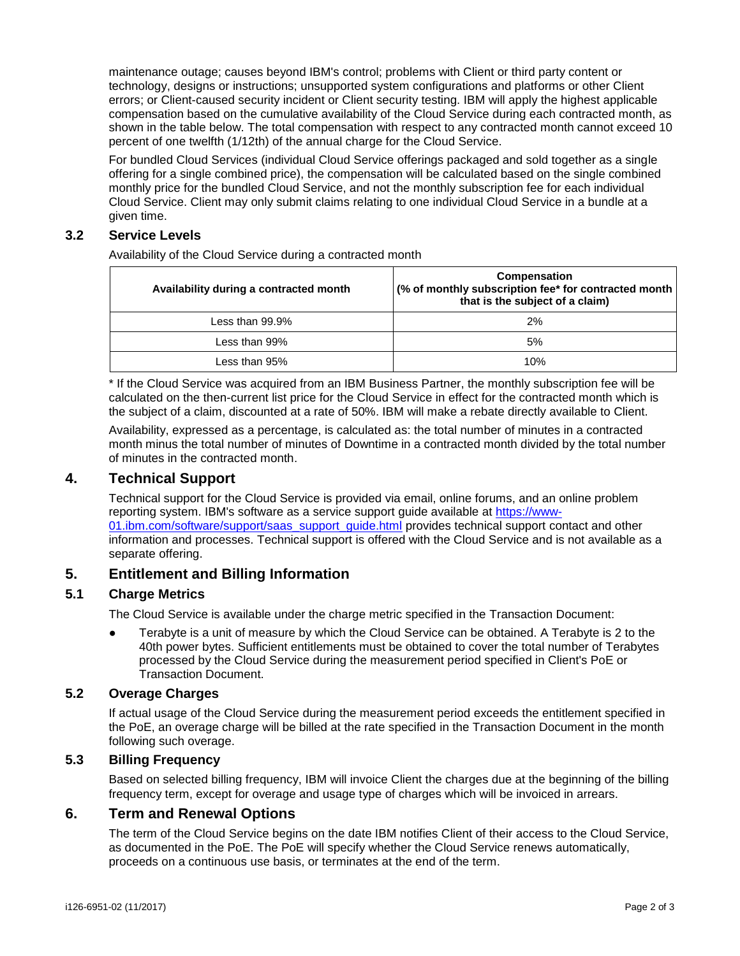maintenance outage; causes beyond IBM's control; problems with Client or third party content or technology, designs or instructions; unsupported system configurations and platforms or other Client errors; or Client-caused security incident or Client security testing. IBM will apply the highest applicable compensation based on the cumulative availability of the Cloud Service during each contracted month, as shown in the table below. The total compensation with respect to any contracted month cannot exceed 10 percent of one twelfth (1/12th) of the annual charge for the Cloud Service.

For bundled Cloud Services (individual Cloud Service offerings packaged and sold together as a single offering for a single combined price), the compensation will be calculated based on the single combined monthly price for the bundled Cloud Service, and not the monthly subscription fee for each individual Cloud Service. Client may only submit claims relating to one individual Cloud Service in a bundle at a given time.

#### **3.2 Service Levels**

Availability of the Cloud Service during a contracted month

| Availability during a contracted month | Compensation<br>(% of monthly subscription fee* for contracted month )<br>that is the subject of a claim) |
|----------------------------------------|-----------------------------------------------------------------------------------------------------------|
| Less than $99.9\%$                     | 2%                                                                                                        |
| Less than 99%                          | 5%                                                                                                        |
| Less than 95%                          | 10%                                                                                                       |

\* If the Cloud Service was acquired from an IBM Business Partner, the monthly subscription fee will be calculated on the then-current list price for the Cloud Service in effect for the contracted month which is the subject of a claim, discounted at a rate of 50%. IBM will make a rebate directly available to Client.

Availability, expressed as a percentage, is calculated as: the total number of minutes in a contracted month minus the total number of minutes of Downtime in a contracted month divided by the total number of minutes in the contracted month.

#### **4. Technical Support**

Technical support for the Cloud Service is provided via email, online forums, and an online problem reporting system. IBM's software as a service support guide available at [https://www-](https://www-01.ibm.com/software/support/saas_support_guide.html)01.jbm.com/software/support/saas\_support\_guide.html provides technical support contact and other information and processes. Technical support is offered with the Cloud Service and is not available as a separate offering.

## **5. Entitlement and Billing Information**

#### **5.1 Charge Metrics**

The Cloud Service is available under the charge metric specified in the Transaction Document:

● Terabyte is a unit of measure by which the Cloud Service can be obtained. A Terabyte is 2 to the 40th power bytes. Sufficient entitlements must be obtained to cover the total number of Terabytes processed by the Cloud Service during the measurement period specified in Client's PoE or Transaction Document.

#### **5.2 Overage Charges**

If actual usage of the Cloud Service during the measurement period exceeds the entitlement specified in the PoE, an overage charge will be billed at the rate specified in the Transaction Document in the month following such overage.

#### **5.3 Billing Frequency**

Based on selected billing frequency, IBM will invoice Client the charges due at the beginning of the billing frequency term, except for overage and usage type of charges which will be invoiced in arrears.

#### **6. Term and Renewal Options**

The term of the Cloud Service begins on the date IBM notifies Client of their access to the Cloud Service, as documented in the PoE. The PoE will specify whether the Cloud Service renews automatically, proceeds on a continuous use basis, or terminates at the end of the term.